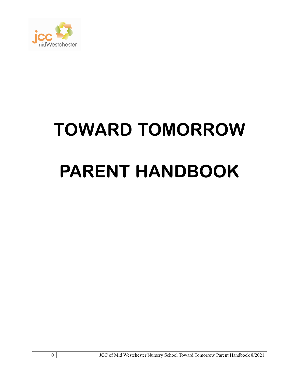

# TOWARD TOMORROW PARENT HANDBOOK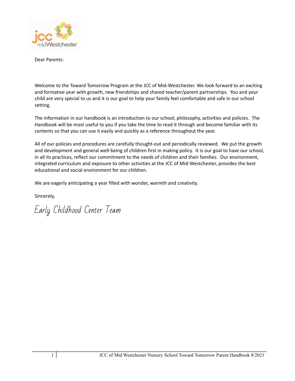

Dear Parents:

Welcome to the Toward Tomorrow Program at the JCC of Mid-Westchester. We look forward to an exciting and formative year with growth, new friendships and shared teacher/parent partnerships. You and your child are very special to us and it is our goal to help your family feel comfortable and safe in our school setting.

The information in our handbook is an introduction to our school, philosophy, activities and policies. The Handbook will be most useful to you if you take the time to read it through and become familiar with its contents so that you can use it easily and quickly as a reference throughout the year.

All of our policies and procedures are carefully thought-out and periodically reviewed. We put the growth and development and general well-being of children first in making policy. It is our goal to have our school, in all its practices, reflect our commitment to the needs of children and their families. Our environment, integrated curriculum and exposure to other activities at the JCC of Mid-Westchester, provides the best educational and social environment for our children.

We are eagerly anticipating a year filled with wonder, warmth and creativity.

Sincerely,

Early Childhood Center Team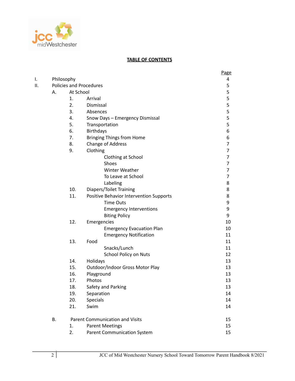

#### **TABLE OF CONTENTS**

| ١.  |    | Philosophy |                                         | Page<br>$\overline{a}$ |
|-----|----|------------|-----------------------------------------|------------------------|
| II. |    |            | <b>Policies and Procedures</b>          |                        |
|     | А. | At School  |                                         | 5<br>5                 |
|     |    | 1.         | Arrival                                 |                        |
|     |    | 2.         | Dismissal                               | 5<br>5<br>5            |
|     |    | 3.         | Absences                                |                        |
|     |    | 4.         | Snow Days - Emergency Dismissal         | 5                      |
|     |    | 5.         | Transportation                          | 5                      |
|     |    | 6.         | <b>Birthdays</b>                        | 6                      |
|     |    | 7.         | <b>Bringing Things from Home</b>        | 6                      |
|     |    | 8.         | Change of Address                       | $\overline{7}$         |
|     |    | 9.         | Clothing                                | $\overline{7}$         |
|     |    |            | Clothing at School                      | $\overline{7}$         |
|     |    |            | <b>Shoes</b>                            | $\overline{7}$         |
|     |    |            | <b>Winter Weather</b>                   | 7                      |
|     |    |            | To Leave at School                      | 7                      |
|     |    |            | Labeling                                | 8                      |
|     |    | 10.        | Diapers/Toilet Training                 | 8                      |
|     |    | 11.        | Positive Behavior Intervention Supports | 8                      |
|     |    |            | <b>Time Outs</b>                        | 9                      |
|     |    |            | <b>Emergency Interventions</b>          | 9                      |
|     |    |            | <b>Biting Policy</b>                    | 9                      |
|     |    | 12.        | Emergencies                             | 10                     |
|     |    |            | <b>Emergency Evacuation Plan</b>        | 10                     |
|     |    |            | <b>Emergency Notification</b>           | 11                     |
|     |    | 13.        | Food                                    | 11                     |
|     |    |            | Snacks/Lunch                            | 11                     |
|     |    |            | School Policy on Nuts                   | 12                     |
|     |    | 14.        | Holidays                                | 13                     |
|     |    | 15.        | Outdoor/Indoor Gross Motor Play         | 13                     |
|     |    | 16.        | Playground                              | 13                     |
|     |    | 17.        | Photos                                  | 13                     |
|     |    | 18.        | Safety and Parking                      | 13                     |
|     |    | 19.        | Separation                              | 14                     |
|     |    | 20.        | <b>Specials</b>                         | 14                     |
|     |    | 21.        | Swim                                    | 14                     |
|     | Β. |            | <b>Parent Communication and Visits</b>  | 15                     |
|     |    | 1.         | <b>Parent Meetings</b>                  | 15                     |
|     |    | 2.         | <b>Parent Communication System</b>      | 15                     |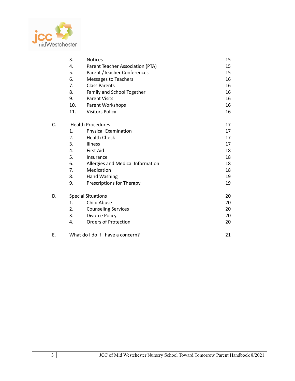

|    | 3.<br><b>Notices</b><br>4.<br>Parent Teacher Association (PTA) |                                   | 15 |
|----|----------------------------------------------------------------|-----------------------------------|----|
|    |                                                                |                                   | 15 |
|    | 5.                                                             | Parent / Teacher Conferences      | 15 |
|    | 6.                                                             | Messages to Teachers              | 16 |
|    | 7.                                                             | <b>Class Parents</b>              | 16 |
|    | 8.                                                             | Family and School Together        | 16 |
|    | 9.                                                             | <b>Parent Visits</b>              | 16 |
|    | 10.                                                            | Parent Workshops                  | 16 |
|    | 11.                                                            | <b>Visitors Policy</b>            | 16 |
| C. | <b>Health Procedures</b>                                       | 17                                |    |
|    | 1.                                                             | Physical Examination              | 17 |
|    | 2.                                                             | <b>Health Check</b>               | 17 |
|    | 3.                                                             | <b>Illness</b>                    | 17 |
|    | 4.                                                             | <b>First Aid</b>                  | 18 |
|    | 5.                                                             | Insurance                         | 18 |
|    | 6.                                                             | Allergies and Medical Information | 18 |
|    | 7.                                                             | Medication                        | 18 |
|    | 8.                                                             | <b>Hand Washing</b>               | 19 |
|    | 9.                                                             | Prescriptions for Therapy         | 19 |
| D. | <b>Special Situations</b>                                      | 20                                |    |
|    | 1.                                                             | <b>Child Abuse</b>                | 20 |
|    | 2.                                                             | <b>Counseling Services</b>        | 20 |
|    | 3.                                                             | Divorce Policy                    | 20 |
|    | 4.                                                             | <b>Orders of Protection</b>       | 20 |
| F. |                                                                | What do I do if I have a concern? |    |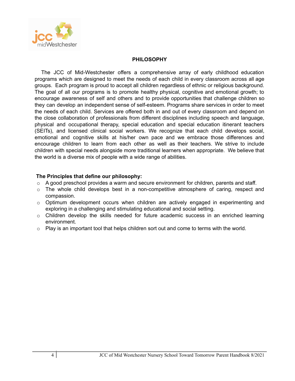

#### **PHILOSOPHY**

The JCC of Mid-Westchester offers a comprehensive array of early childhood education programs which are designed to meet the needs of each child in every classroom across all age groups. Each program is proud to accept all children regardless of ethnic or religious background. The goal of all our programs is to promote healthy physical, cognitive and emotional growth; to encourage awareness of self and others and to provide opportunities that challenge children so they can develop an independent sense of self-esteem. Programs share services in order to meet the needs of each child. Services are offered both in and out of every classroom and depend on the close collaboration of professionals from different disciplines including speech and language, physical and occupational therapy, special education and special education itinerant teachers (SEITs), and licensed clinical social workers. We recognize that each child develops social, emotional and cognitive skills at his/her own pace and we embrace those differences and encourage children to learn from each other as well as their teachers. We strive to include children with special needs alongside more traditional learners when appropriate. We believe that the world is a diverse mix of people with a wide range of abilities.

#### **The Principles that define our philosophy:**

- $\circ$  A good preschool provides a warm and secure environment for children, parents and staff.
- $\circ$  The whole child develops best in a non-competitive atmosphere of caring, respect and compassion.
- $\circ$  Optimum development occurs when children are actively engaged in experimenting and exploring in a challenging and stimulating educational and social setting.
- o Children develop the skills needed for future academic success in an enriched learning environment.
- $\circ$  Play is an important tool that helps children sort out and come to terms with the world.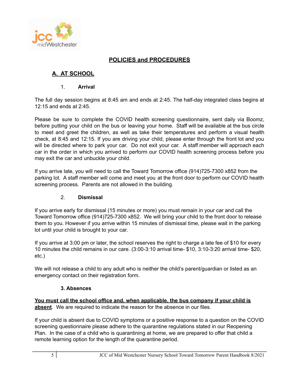

#### **POLICIES and PROCEDURES**

### **A. AT SCHOOL**

#### 1. **Arrival**

The full day session begins at 8:45 am and ends at 2:45. The half-day integrated class begins at 12:15 and ends at 2:45.

Please be sure to complete the COVID health screening questionnaire, sent daily via Boomz, before putting your child on the bus or leaving your home. Staff will be available at the bus circle to meet and greet the children, as well as take their temperatures and perform a visual health check, at 8:45 and 12:15. If you are driving your child, please enter through the front lot and you will be directed where to park your car. Do not exit your car. A staff member will approach each car in the order in which you arrived to perform our COVID health screening process before you may exit the car and unbuckle your child.

If you arrive late, you will need to call the Toward Tomorrow office (914)725-7300 x852 from the parking lot. A staff member will come and meet you at the front door to perform our COVID health screening process. Parents are not allowed in the building.

#### 2. **Dismissal**

If you arrive early for dismissal (15 minutes or more) you must remain in your car and call the Toward Tomorrow office (914)725-7300 x852. We will bring your child to the front door to release them to you. However if you arrive within 15 minutes of dismissal time, please wait in the parking lot until your child is brought to your car.

If you arrive at 3:00 pm or later, the school reserves the right to charge a late fee of \$10 for every 10 minutes the child remains in our care. (3:00-3:10 arrival time- \$10, 3:10-3:20 arrival time- \$20, etc.)

We will not release a child to any adult who is neither the child's parent/guardian or listed as an emergency contact on their registration form.

#### **3. Absences**

**You must call the school office and, when applicable, the bus company if your child is absent**. We are required to indicate the reason for the absence in our files.

If your child is absent due to COVID symptoms or a positive response to a question on the COVID screening questionnaire please adhere to the quarantine regulations stated in our Reopening Plan. In the case of a child who is quarantining at home, we are prepared to offer that child a remote learning option for the length of the quarantine period.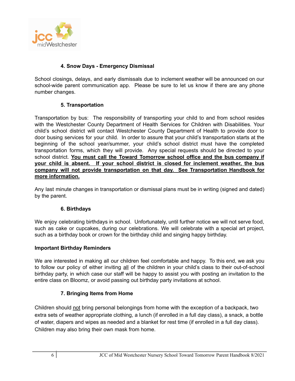

#### **4. Snow Days - Emergency Dismissal**

School closings, delays, and early dismissals due to inclement weather will be announced on our school-wide parent communication app. Please be sure to let us know if there are any phone number changes.

#### **5. Transportation**

Transportation by bus: The responsibility of transporting your child to and from school resides with the Westchester County Department of Health Services for Children with Disabilities. Your child's school district will contact Westchester County Department of Health to provide door to door busing services for your child. In order to assure that your child's transportation starts at the beginning of the school year/summer, your child's school district must have the completed transportation forms, which they will provide. Any special requests should be directed to your school district. **You must call the Toward Tomorrow school office and the bus company if your child is absent. If your school district is closed for inclement weather, the bus company will not provide transportation on that day. See Transportation Handbook for more information.**

Any last minute changes in transportation or dismissal plans must be in writing (signed and dated) by the parent.

#### **6. Birthdays**

We enjoy celebrating birthdays in school. Unfortunately, until further notice we will not serve food, such as cake or cupcakes, during our celebrations. We will celebrate with a special art project, such as a birthday book or crown for the birthday child and singing happy birthday.

#### **Important Birthday Reminders**

We are interested in making all our children feel comfortable and happy. To this end, we ask you to follow our policy of either inviting all of the children in your child's class to their out-of-school birthday party, in which case our staff will be happy to assist you with posting an invitation to the entire class on Bloomz, or avoid passing out birthday party invitations at school.

#### **7. Bringing Items from Home**

Children should not bring personal belongings from home with the exception of a backpack, two extra sets of weather appropriate clothing, a lunch (if enrolled in a full day class), a snack, a bottle of water, diapers and wipes as needed and a blanket for rest time (if enrolled in a full day class). Children may also bring their own mask from home.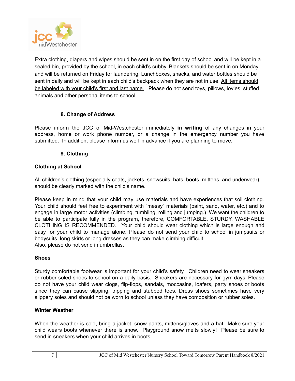

Extra clothing, diapers and wipes should be sent in on the first day of school and will be kept in a sealed bin, provided by the school, in each child's cubby. Blankets should be sent in on Monday and will be returned on Friday for laundering. Lunchboxes, snacks, and water bottles should be sent in daily and will be kept in each child's backpack when they are not in use. All items should be labeled with your child's first and last name. Please do not send toys, pillows, lovies, stuffed animals and other personal items to school.

#### **8. Change of Address**

Please inform the JCC of Mid-Westchester immediately **in writing** of any changes in your address, home or work phone number, or a change in the emergency number you have submitted. In addition, please inform us well in advance if you are planning to move.

#### **9. Clothing**

#### **Clothing at School**

All children's clothing (especially coats, jackets, snowsuits, hats, boots, mittens, and underwear) should be clearly marked with the child's name.

Please keep in mind that your child may use materials and have experiences that soil clothing. Your child should feel free to experiment with "messy" materials (paint, sand, water, etc.) and to engage in large motor activities (climbing, tumbling, rolling and jumping.) We want the children to be able to participate fully in the program, therefore, COMFORTABLE, STURDY, WASHABLE CLOTHING IS RECOMMENDED. Your child should wear clothing which is large enough and easy for your child to manage alone. Please do not send your child to school in jumpsuits or bodysuits, long skirts or long dresses as they can make climbing difficult. Also, please do not send in umbrellas.

#### **Shoes**

Sturdy comfortable footwear is important for your child's safety. Children need to wear sneakers or rubber soled shoes to school on a daily basis. Sneakers are necessary for gym days. Please do not have your child wear clogs, flip-flops, sandals, moccasins, loafers, party shoes or boots since they can cause slipping, tripping and stubbed toes. Dress shoes sometimes have very slippery soles and should not be worn to school unless they have composition or rubber soles.

#### **Winter Weather**

When the weather is cold, bring a jacket, snow pants, mittens/gloves and a hat. Make sure your child wears boots whenever there is snow. Playground snow melts slowly! Please be sure to send in sneakers when your child arrives in boots.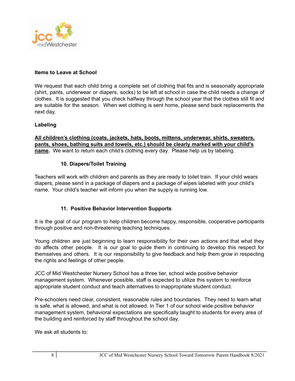

#### **Items to Leave at School**

We request that each child bring a complete set of clothing that fits and is seasonally appropriate (shirt, pants, underwear or diapers, socks) to be left at school in case the child needs a change of clothes. It is suggested that you check halfway through the school year that the clothes still fit and are suitable for the season. When wet clothing is sent home, please send back replacements the next day.

#### **Labeling**

**All children's clothing (coats, jackets, hats, boots, mittens, underwear, shirts, sweaters, pants, shoes, bathing suits and towels, etc.) should be clearly marked with your child's name.** We want to return each child's clothing every day. Please help us by labeling.

#### **10. Diapers/Toilet Training**

Teachers will work with children and parents as they are ready to toilet train. If your child wears diapers, please send in a package of diapers and a package of wipes labeled with your child's name. Your child's teacher will inform you when the supply is running low.

#### **11. Positive Behavior Intervention Supports**

It is the goal of our program to help children become happy, responsible, cooperative participants through positive and non-threatening teaching techniques.

Young children are just beginning to learn responsibility for their own actions and that what they do affects other people. It is our goal to guide them in continuing to develop this respect for themselves and others. It is our responsibility to give feedback and help them grow in respecting the rights and feelings of other people.

JCC of Mid Westchester Nursery School has a three tier, school wide positive behavior management system. Whenever possible, staff is expected to utilize this system to reinforce appropriate student conduct and teach alternatives to inappropriate student conduct.

Pre-schoolers need clear, consistent, reasonable rules and boundaries. They need to learn what is safe, what is allowed, and what is not allowed. In Tier 1 of our school wide positive behavior management system, behavioral expectations are specifically taught to students for every area of the building and reinforced by staff throughout the school day.

We ask all students to: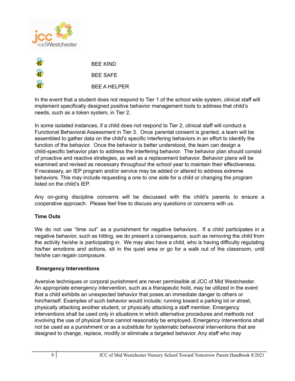



In the event that a student does not respond to Tier 1 of the school wide system, clinical staff will implement specifically designed positive behavior management tools to address that child's needs, such as a token system, in Tier 2.

In some isolated instances, if a child does not respond to Tier 2, clinical staff will conduct a Functional Behavioral Assessment in Tier 3. Once parental consent is granted, a team will be assembled to gather data on the child's specific interfering behaviors in an effort to identify the function of the behavior. Once the behavior is better understood, the team can design a child-specific behavior plan to address the interfering behavior. The behavior plan should consist of proactive and reactive strategies, as well as a replacement behavior. Behavior plans will be examined and revised as necessary throughout the school year to maintain their effectiveness. If necessary, an IEP program and/or service may be added or altered to address extreme behaviors. This may include requesting a one to one aide for a child or changing the program listed on the child's IEP.

Any on-going discipline concerns will be discussed with the child's parents to ensure a cooperative approach. Please feel free to discuss any questions or concerns with us.

#### **Time Outs**

We do not use "time out" as a punishment for negative behaviors. If a child participates in a negative behavior, such as hitting, we do present a consequence, such as removing the child from the activity he/she is participating in. We may also have a child, who is having difficulty regulating his/her emotions and actions, sit in the quiet area or go for a walk out of the classroom, until he/she can regain composure.

#### **Emergency Interventions**

Aversive techniques or corporal punishment are never permissible at JCC of Mid Westchester. An appropriate emergency intervention, such as a therapeutic hold, may be utilized in the event that a child exhibits an unexpected behavior that poses an immediate danger to others or him/herself. Examples of such behavior would include; running toward a parking lot or street, physically attacking another student, or physically attacking a staff member. Emergency interventions shall be used only in situations in which alternative procedures and methods not involving the use of physical force cannot reasonably be employed. Emergency interventions shall not be used as a punishment or as a substitute for systematic behavioral interventions that are designed to change, replace, modify or eliminate a targeted behavior. Any staff who may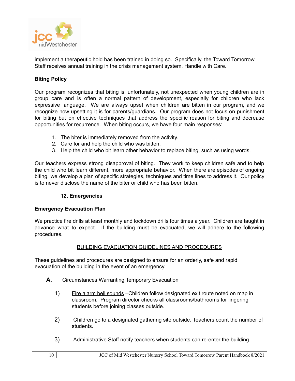

implement a therapeutic hold has been trained in doing so. Specifically, the Toward Tomorrow Staff receives annual training in the crisis management system, Handle with Care.

#### **Biting Policy**

Our program recognizes that biting is, unfortunately, not unexpected when young children are in group care and is often a normal pattern of development, especially for children who lack expressive language. We are always upset when children are bitten in our program, and we recognize how upsetting it is for parents/guardians. Our program does not focus on punishment for biting but on effective techniques that address the specific reason for biting and decrease opportunities for recurrence. When biting occurs, we have four main responses:

- 1. The biter is immediately removed from the activity.
- 2. Care for and help the child who was bitten.
- 3. Help the child who bit learn other behavior to replace biting, such as using words.

Our teachers express strong disapproval of biting. They work to keep children safe and to help the child who bit learn different, more appropriate behavior. When there are episodes of ongoing biting, we develop a plan of specific strategies, techniques and time lines to address it. Our policy is to never disclose the name of the biter or child who has been bitten.

#### **12. Emergencies**

#### **Emergency Evacuation Plan**

We practice fire drills at least monthly and lockdown drills four times a year. Children are taught in advance what to expect. If the building must be evacuated, we will adhere to the following procedures.

#### BUILDING EVACUATION GUIDELINES AND PROCEDURES

These guidelines and procedures are designed to ensure for an orderly, safe and rapid evacuation of the building in the event of an emergency.

- **A.** Circumstances Warranting Temporary Evacuation
	- 1) Fire alarm bell sounds –Children follow designated exit route noted on map in classroom. Program director checks all classrooms/bathrooms for lingering students before joining classes outside.
	- 2) Children go to a designated gathering site outside. Teachers count the number of students.
	- 3) Administrative Staff notify teachers when students can re-enter the building.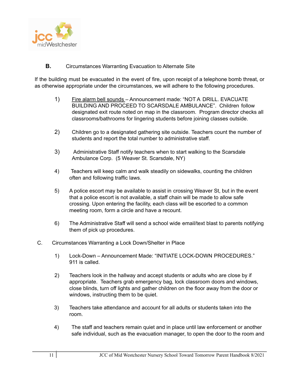

**B.** Circumstances Warranting Evacuation to Alternate Site

If the building must be evacuated in the event of fire, upon receipt of a telephone bomb threat, or as otherwise appropriate under the circumstances, we will adhere to the following procedures.

- 1) Fire alarm bell sounds Announcement made: "NOT A DRILL. EVACUATE BUILDING AND PROCEED TO SCARSDALE AMBULANCE". Children follow designated exit route noted on map in the classroom. Program director checks all classrooms/bathrooms for lingering students before joining classes outside.
- 2) Children go to a designated gathering site outside. Teachers count the number of students and report the total number to administrative staff.
- 3) Administrative Staff notify teachers when to start walking to the Scarsdale Ambulance Corp. (5 Weaver St. Scarsdale, NY)
- 4) Teachers will keep calm and walk steadily on sidewalks, counting the children often and following traffic laws.
- 5) A police escort may be available to assist in crossing Weaver St, but in the event that a police escort is not available, a staff chain will be made to allow safe crossing. Upon entering the facility, each class will be escorted to a common meeting room, form a circle and have a recount.
- 6) The Administrative Staff will send a school wide email/text blast to parents notifying them of pick up procedures.
- C. Circumstances Warranting a Lock Down/Shelter in Place
	- 1) Lock-Down Announcement Made: "INITIATE LOCK-DOWN PROCEDURES." 911 is called.
	- 2) Teachers look in the hallway and accept students or adults who are close by if appropriate. Teachers grab emergency bag, lock classroom doors and windows, close blinds, turn off lights and gather children on the floor away from the door or windows, instructing them to be quiet.
	- 3) Teachers take attendance and account for all adults or students taken into the room.
	- 4) The staff and teachers remain quiet and in place until law enforcement or another safe individual, such as the evacuation manager, to open the door to the room and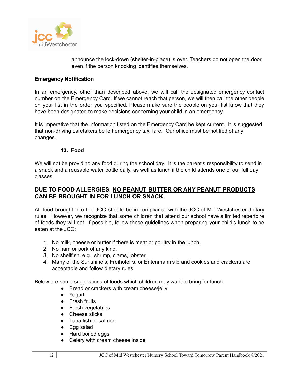

announce the lock-down (shelter-in-place) is over. Teachers do not open the door, even if the person knocking identifies themselves.

#### **Emergency Notification**

In an emergency, other than described above, we will call the designated emergency contact number on the Emergency Card. If we cannot reach that person, we will then call the other people on your list in the order you specified. Please make sure the people on your list know that they have been designated to make decisions concerning your child in an emergency.

It is imperative that the information listed on the Emergency Card be kept current. It is suggested that non-driving caretakers be left emergency taxi fare. Our office must be notified of any changes.

#### **13. Food**

We will not be providing any food during the school day. It is the parent's responsibility to send in a snack and a reusable water bottle daily, as well as lunch if the child attends one of our full day classes.

#### **DUE TO FOOD ALLERGIES, NO PEANUT BUTTER OR ANY PEANUT PRODUCTS CAN BE BROUGHT IN FOR LUNCH OR SNACK.**

All food brought into the JCC should be in compliance with the JCC of Mid-Westchester dietary rules. However, we recognize that some children that attend our school have a limited repertoire of foods they will eat. If possible, follow these guidelines when preparing your child's lunch to be eaten at the JCC:

- 1. No milk, cheese or butter if there is meat or poultry in the lunch.
- 2. No ham or pork of any kind.
- 3. No shellfish, e.g., shrimp, clams, lobster.
- 4. Many of the Sunshine's, Freihofer's, or Entenmann's brand cookies and crackers are acceptable and follow dietary rules.

Below are some suggestions of foods which children may want to bring for lunch:

- Bread or crackers with cream cheese/jelly
- Yogurt
- Fresh fruits
- Fresh vegetables
- Cheese sticks
- Tuna fish or salmon
- Egg salad
- Hard boiled eggs
- Celery with cream cheese inside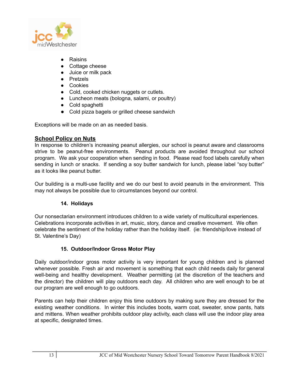

- Raisins
- Cottage cheese
- Juice or milk pack
- Pretzels
- Cookies
- Cold, cooked chicken nuggets or cutlets.
- Luncheon meats (bologna, salami, or poultry)
- Cold spaghetti
- Cold pizza bagels or grilled cheese sandwich

Exceptions will be made on an as needed basis.

#### **School Policy on Nuts**

In response to children's increasing peanut allergies, our school is peanut aware and classrooms strive to be peanut-free environments. Peanut products are avoided throughout our school program. We ask your cooperation when sending in food. Please read food labels carefully when sending in lunch or snacks. If sending a soy butter sandwich for lunch, please label "soy butter" as it looks like peanut butter.

Our building is a multi-use facility and we do our best to avoid peanuts in the environment. This may not always be possible due to circumstances beyond our control.

#### **14. Holidays**

Our nonsectarian environment introduces children to a wide variety of multicultural experiences. Celebrations incorporate activities in art, music, story, dance and creative movement. We often celebrate the sentiment of the holiday rather than the holiday itself. (ie: friendship/love instead of St. Valentine's Day)

#### **15. Outdoor/Indoor Gross Motor Play**

Daily outdoor/indoor gross motor activity is very important for young children and is planned whenever possible. Fresh air and movement is something that each child needs daily for general well-being and healthy development. Weather permitting (at the discretion of the teachers and the director) the children will play outdoors each day. All children who are well enough to be at our program are well enough to go outdoors.

Parents can help their children enjoy this time outdoors by making sure they are dressed for the existing weather conditions. In winter this includes boots, warm coat, sweater, snow pants, hats and mittens. When weather prohibits outdoor play activity, each class will use the indoor play area at specific, designated times.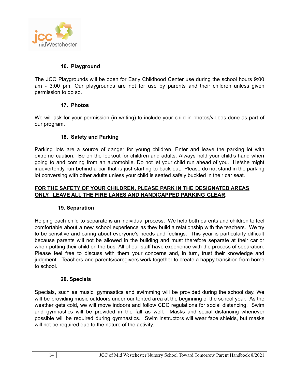

#### **16. Playground**

The JCC Playgrounds will be open for Early Childhood Center use during the school hours 9:00 am - 3:00 pm. Our playgrounds are not for use by parents and their children unless given permission to do so.

#### **17. Photos**

We will ask for your permission (in writing) to include your child in photos/videos done as part of our program.

#### **18. Safety and Parking**

Parking lots are a source of danger for young children. Enter and leave the parking lot with extreme caution. Be on the lookout for children and adults. Always hold your child's hand when going to and coming from an automobile. Do not let your child run ahead of you. He/she might inadvertently run behind a car that is just starting to back out. Please do not stand in the parking lot conversing with other adults unless your child is seated safely buckled in their car seat.

#### **FOR THE SAFETY OF YOUR CHILDREN, PLEASE PARK IN THE DESIGNATED AREAS ONLY. LEAVE ALL THE FIRE LANES AND HANDICAPPED PARKING CLEAR.**

#### **19. Separation**

Helping each child to separate is an individual process. We help both parents and children to feel comfortable about a new school experience as they build a relationship with the teachers. We try to be sensitive and caring about everyone's needs and feelings. This year is particularly difficult because parents will not be allowed in the building and must therefore separate at their car or when putting their child on the bus. All of our staff have experience with the process of separation. Please feel free to discuss with them your concerns and, in turn, trust their knowledge and judgment. Teachers and parents/caregivers work together to create a happy transition from home to school.

#### **20. Specials**

Specials, such as music, gymnastics and swimming will be provided during the school day. We will be providing music outdoors under our tented area at the beginning of the school year. As the weather gets cold, we will move indoors and follow CDC regulations for social distancing. Swim and gymnastics will be provided in the fall as well. Masks and social distancing whenever possible will be required during gymnastics. Swim instructors will wear face shields, but masks will not be required due to the nature of the activity.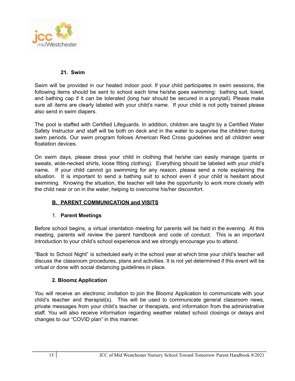

#### **21. Swim**

Swim will be provided in our heated indoor pool. If your child participates in swim sessions, the following items should be sent to school each time he/she goes swimming: bathing suit, towel, and bathing cap if it can be tolerated (long hair should be secured in a ponytail). Please make sure all items are clearly labeled with your child's name. If your child is not potty trained please also send in swim diapers.

The pool is staffed with Certified Lifeguards. In addition, children are taught by a Certified Water Safety Instructor and staff will be both on deck and in the water to supervise the children during swim periods. Our swim program follows American Red Cross guidelines and all children wear floatation devices.

On swim days, please dress your child in clothing that he/she can easily manage (pants or sweats, wide-necked shirts, loose fitting clothing). Everything should be labeled with your child's name. If your child cannot go swimming for any reason, please send a note explaining the situation. It is important to send a bathing suit to school even if your child is hesitant about swimming. Knowing the situation, the teacher will take the opportunity to work more closely with the child near or on in the water, helping to overcome his/her discomfort.

#### **B. PARENT COMMUNICATION and VISITS**

#### 1. **Parent Meetings**

Before school begins, a virtual orientation meeting for parents will be held in the evening. At this meeting, parents will review the parent handbook and code of conduct. This is an important introduction to your child's school experience and we strongly encourage you to attend.

"Back to School Night" is scheduled early in the school year at which time your child's teacher will discuss the classroom procedures, plans and activities. It is not yet determined if this event will be virtual or done with social distancing guidelines in place.

#### **2. Bloomz Application**

You will receive an electronic invitation to join the Bloomz Application to communicate with your child's teacher and therapist(s). This will be used to communicate general classroom news, private messages from your child's teacher or therapists, and information from the administrative staff. You will also receive information regarding weather related school closings or delays and changes to our "COVID plan" in this manner.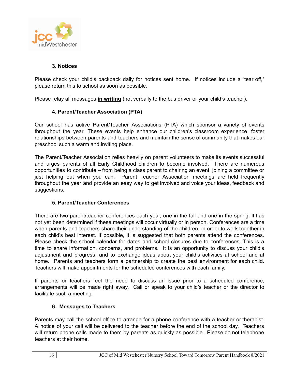

#### **3. Notices**

Please check your child's backpack daily for notices sent home. If notices include a "tear off," please return this to school as soon as possible.

Please relay all messages **in writing** (not verbally to the bus driver or your child's teacher).

#### **4. Parent/Teacher Association (PTA)**

Our school has active Parent/Teacher Associations (PTA) which sponsor a variety of events throughout the year. These events help enhance our children's classroom experience, foster relationships between parents and teachers and maintain the sense of community that makes our preschool such a warm and inviting place.

The Parent/Teacher Association relies heavily on parent volunteers to make its events successful and urges parents of all Early Childhood children to become involved. There are numerous opportunities to contribute – from being a class parent to chairing an event, joining a committee or just helping out when you can. Parent Teacher Association meetings are held frequently throughout the year and provide an easy way to get involved and voice your ideas, feedback and suggestions.

#### **5. Parent/Teacher Conferences**

There are two parent/teacher conferences each year, one in the fall and one in the spring. It has not yet been determined if these meetings will occur virtually or in person. Conferences are a time when parents and teachers share their understanding of the children, in order to work together in each child's best interest. If possible, it is suggested that both parents attend the conferences. Please check the school calendar for dates and school closures due to conferences. This is a time to share information, concerns, and problems. It is an opportunity to discuss your child's adjustment and progress, and to exchange ideas about your child's activities at school and at home. Parents and teachers form a partnership to create the best environment for each child. Teachers will make appointments for the scheduled conferences with each family.

If parents or teachers feel the need to discuss an issue prior to a scheduled conference, arrangements will be made right away. Call or speak to your child's teacher or the director to facilitate such a meeting.

#### **6. Messages to Teachers**

Parents may call the school office to arrange for a phone conference with a teacher or therapist. A notice of your call will be delivered to the teacher before the end of the school day. Teachers will return phone calls made to them by parents as quickly as possible. Please do not telephone teachers at their home.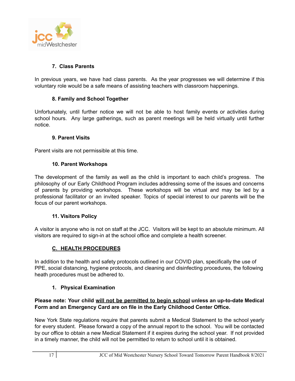

#### **7. Class Parents**

In previous years, we have had class parents. As the year progresses we will determine if this voluntary role would be a safe means of assisting teachers with classroom happenings.

#### **8. Family and School Together**

Unfortunately, until further notice we will not be able to host family events or activities during school hours. Any large gatherings, such as parent meetings will be held virtually until further notice.

#### **9. Parent Visits**

Parent visits are not permissible at this time.

#### **10. Parent Workshops**

The development of the family as well as the child is important to each child's progress. The philosophy of our Early Childhood Program includes addressing some of the issues and concerns of parents by providing workshops. These workshops will be virtual and may be led by a professional facilitator or an invited speaker. Topics of special interest to our parents will be the focus of our parent workshops.

#### **11. Visitors Policy**

A visitor is anyone who is not on staff at the JCC. Visitors will be kept to an absolute minimum. All visitors are required to sign-in at the school office and complete a health screener.

#### **C. HEALTH PROCEDURES**

In addition to the health and safety protocols outlined in our COVID plan, specifically the use of PPE, social distancing, hygiene protocols, and cleaning and disinfecting procedures, the following heath procedures must be adhered to.

#### **1. Physical Examination**

#### **Please note: Your child will not be permitted to begin school unless an up-to-date Medical Form and an Emergency Card are on file in the Early Childhood Center Office.**

New York State regulations require that parents submit a Medical Statement to the school yearly for every student. Please forward a copy of the annual report to the school. You will be contacted by our office to obtain a new Medical Statement if it expires during the school year. If not provided in a timely manner, the child will not be permitted to return to school until it is obtained.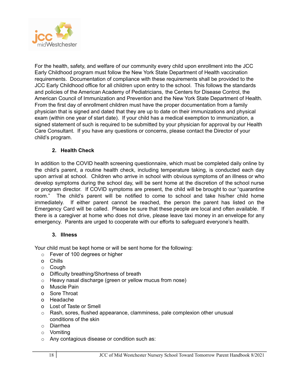

For the health, safety, and welfare of our community every child upon enrollment into the JCC Early Childhood program must follow the New York State Department of Health vaccination requirements. Documentation of compliance with these requirements shall be provided to the JCC Early Childhood office for all children upon entry to the school. This follows the standards and policies of the American Academy of Pediatricians, the Centers for Disease Control, the American Council of Immunization and Prevention and the New York State Department of Health. From the first day of enrollment children must have the proper documentation from a family physician that is signed and dated that they are up to date on their immunizations and physical exam (within one year of start date). If your child has a medical exemption to immunization, a signed statement of such is required to be submitted by your physician for approval by our Health Care Consultant. If you have any questions or concerns, please contact the Director of your child's program.

#### **2. Health Check**

In addition to the COVID health screening questionnaire, which must be completed daily online by the child's parent, a routine health check, including temperature taking, is conducted each day upon arrival at school. Children who arrive in school with obvious symptoms of an illness or who develop symptoms during the school day, will be sent home at the discretion of the school nurse or program director. If COVID symptoms are present, the child will be brought to our "quarantine room." The child's parent will be notified to come to school and take his/her child home immediately. If either parent cannot be reached, the person the parent has listed on the Emergency Card will be called. Please be sure that these people are local and often available. If there is a caregiver at home who does not drive, please leave taxi money in an envelope for any emergency. Parents are urged to cooperate with our efforts to safeguard everyone's health.

#### **3. Illness**

Your child must be kept home or will be sent home for the following:

- o Fever of 100 degrees or higher
- o Chills
- o Cough
- o Difficulty breathing/Shortness of breath
- o Heavy nasal discharge (green or yellow mucus from nose)
- o Muscle Pain
- o Sore Throat
- o Headache
- o Lost of Taste or Smell
- $\circ$  Rash, sores, flushed appearance, clamminess, pale complexion other unusual conditions of the skin
- o Diarrhea
- o Vomiting
- o Any contagious disease or condition such as: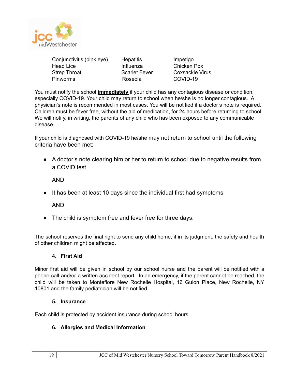

| Conjunctivitis (pink eye)<br>Head Lice | <b>Hepatitis</b><br>Influenza | Impetigo<br>Chicken Po |
|----------------------------------------|-------------------------------|------------------------|
| Strep Throat                           | <b>Scarlet Fever</b>          | Coxsackie              |
| Pinworms                               | Roseola                       | COVID-19               |

cken Pox sackie Virus

You must notify the school **immediately** if your child has any contagious disease or condition, especially COVID-19. Your child may return to school when he/she is no longer contagious. A physician's note is recommended in most cases. You will be notified if a doctor's note is required. Children must be fever free, without the aid of medication, for 24 hours before returning to school. We will notify, in writing, the parents of any child who has been exposed to any communicable disease.

If your child is diagnosed with COVID-19 he/she may not return to school until the following criteria have been met:

• A doctor's note clearing him or her to return to school due to negative results from a COVID test

AND

● It has been at least 10 days since the individual first had symptoms

AND

• The child is symptom free and fever free for three days.

The school reserves the final right to send any child home, if in its judgment, the safety and health of other children might be affected.

#### **4. First Aid**

Minor first aid will be given in school by our school nurse and the parent will be notified with a phone call and/or a written accident report. In an emergency, if the parent cannot be reached, the child will be taken to Montefiore New Rochelle Hospital, 16 Guion Place, New Rochelle, NY 10801 and the family pediatrician will be notified.

#### **5. Insurance**

Each child is protected by accident insurance during school hours.

#### **6. Allergies and Medical Information**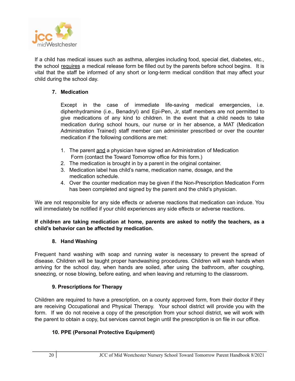

If a child has medical issues such as asthma, allergies including food, special diet, diabetes, etc., the school requires a medical release form be filled out by the parents before school begins. It is vital that the staff be informed of any short or long-term medical condition that may affect your child during the school day.

#### **7. Medication**

Except in the case of immediate life-saving medical emergencies, i.e. diphenhydramine (i.e., Benadryl) and Epi-Pen, Jr, staff members are not permitted to give medications of any kind to children. In the event that a child needs to take medication during school hours, our nurse or in her absence, a MAT (Medication Administration Trained) staff member can administer prescribed or over the counter medication if the following conditions are met:

- 1. The parent and a physician have signed an Administration of Medication Form (contact the Toward Tomorrow office for this form.)
- 2. The medication is brought in by a parent in the original container.
- 3. Medication label has child's name, medication name, dosage, and the medication schedule.
- 4. Over the counter medication may be given if the Non-Prescription Medication Form has been completed and signed by the parent and the child's physician.

We are not responsible for any side effects or adverse reactions that medication can induce. You will immediately be notified if your child experiences any side effects or adverse reactions.

#### **If children are taking medication at home, parents are asked to notify the teachers, as a child's behavior can be affected by medication.**

#### **8. Hand Washing**

Frequent hand washing with soap and running water is necessary to prevent the spread of disease. Children will be taught proper handwashing procedures. Children will wash hands when arriving for the school day, when hands are soiled, after using the bathroom, after coughing, sneezing, or nose blowing, before eating, and when leaving and returning to the classroom.

#### **9. Prescriptions for Therapy**

Children are required to have a prescription, on a county approved form, from their doctor if they are receiving Occupational and Physical Therapy. Your school district will provide you with the form. If we do not receive a copy of the prescription from your school district, we will work with the parent to obtain a copy, but services cannot begin until the prescription is on file in our office.

#### **10. PPE (Personal Protective Equipment)**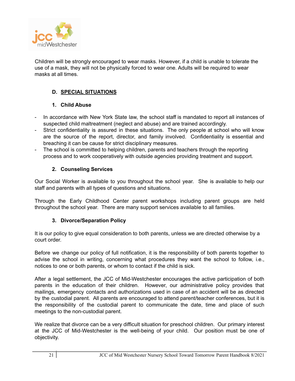

Children will be strongly encouraged to wear masks. However, if a child is unable to tolerate the use of a mask, they will not be physically forced to wear one. Adults will be required to wear masks at all times.

#### **D. SPECIAL SITUATIONS**

#### **1. Child Abuse**

- In accordance with New York State law, the school staff is mandated to report all instances of suspected child maltreatment (neglect and abuse) and are trained accordingly.
- Strict confidentiality is assured in these situations. The only people at school who will know are the source of the report, director, and family involved. Confidentiality is essential and breaching it can be cause for strict disciplinary measures.
- The school is committed to helping children, parents and teachers through the reporting process and to work cooperatively with outside agencies providing treatment and support.

#### **2. Counseling Services**

Our Social Worker is available to you throughout the school year. She is available to help our staff and parents with all types of questions and situations.

Through the Early Childhood Center parent workshops including parent groups are held throughout the school year. There are many support services available to all families.

#### **3. Divorce/Separation Policy**

It is our policy to give equal consideration to both parents, unless we are directed otherwise by a court order.

Before we change our policy of full notification, it is the responsibility of both parents together to advise the school in writing, concerning what procedures they want the school to follow, i.e., notices to one or both parents, or whom to contact if the child is sick.

After a legal settlement, the JCC of Mid-Westchester encourages the active participation of both parents in the education of their children. However, our administrative policy provides that mailings, emergency contacts and authorizations used in case of an accident will be as directed by the custodial parent. All parents are encouraged to attend parent/teacher conferences, but it is the responsibility of the custodial parent to communicate the date, time and place of such meetings to the non-custodial parent.

We realize that divorce can be a very difficult situation for preschool children. Our primary interest at the JCC of Mid-Westchester is the well-being of your child. Our position must be one of objectivity.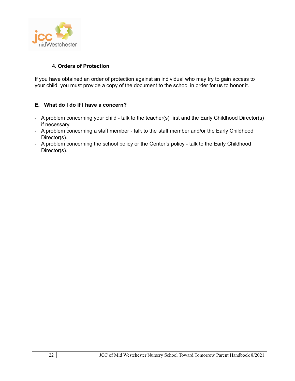

#### **4. Orders of Protection**

If you have obtained an order of protection against an individual who may try to gain access to your child, you must provide a copy of the document to the school in order for us to honor it.

#### **E. What do I do if I have a concern?**

- A problem concerning your child talk to the teacher(s) first and the Early Childhood Director(s) if necessary.
- A problem concerning a staff member talk to the staff member and/or the Early Childhood Director(s).
- A problem concerning the school policy or the Center's policy talk to the Early Childhood Director(s).